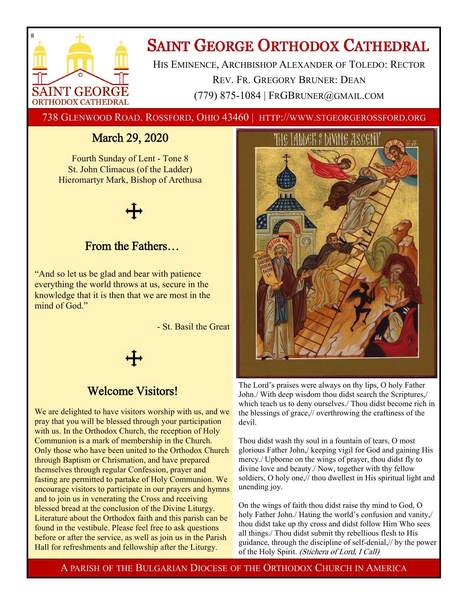

# **SAINT GEORGE ORTHODOX CATHEDRAL**

HIS EMINENCE, ARCHBISHOP ALEXANDER OF TOLEDO: RECTOR REV. FR. GREGORY BRUNER: DEAN (779) 875-1084 | FRGBRUNER@GMAIL.COM

738 GLENWOOD ROAD. ROSSFORD, OHIO 43460 | HTTP://WWW.STGEORGEROSSFORD.ORG

## March 29, 2020

Fourth Sunday of Lent - Tone 8 St. John Climacus (of the Ladder) Hieromartyr Mark, Bishop of Arethusa



## From the Fathers…

"And so let us be glad and bear with patience everything the world throws at us, secure in the knowledge that it is then that we are most in the mind of God."

- St. Basil the Great

## Welcome Visitors!

We are delighted to have visitors worship with us, and we pray that you will be blessed through your participation with us. In the Orthodox Church, the reception of Holy Communion is a mark of membership in the Church. Only those who have been united to the Orthodox Church through Baptism or Chrismation, and have prepared themselves through regular Confession, prayer and fasting are permitted to partake of Holy Communion. We encourage visitors to participate in our prayers and hymns and to join us in venerating the Cross and receiving blessed bread at the conclusion of the Divine Liturgy. Literature about the Orthodox faith and this parish can be found in the vestibule. Please feel free to ask questions before or after the service, as well as join us in the Parish Hall for refreshments and fellowship after the Liturgy.



The Lord's praises were always on thy lips, O holy Father John./ With deep wisdom thou didst search the Scriptures,/ which teach us to deny ourselves./ Thou didst become rich in the blessings of grace,// overthrowing the craftiness of the devil.

Thou didst wash thy soul in a fountain of tears, O most glorious Father John,/ keeping vigil for God and gaining His mercy./ Upborne on the wings of prayer, thou didst fly to divine love and beauty./ Now, together with thy fellow soldiers, O holy one,// thou dwellest in His spiritual light and unending joy.

On the wings of faith thou didst raise thy mind to God, O holy Father John./ Hating the world's confusion and vanity, thou didst take up thy cross and didst follow Him Who sees all things./ Thou didst submit thy rebellious flesh to His guidance, through the discipline of self-denial,// by the power of the Holy Spirit. (Stichera of Lord, I Call)

A PARISH OF THE BULGARIAN DIOCESE OF THE ORTHODOX CHURCH IN AMERICA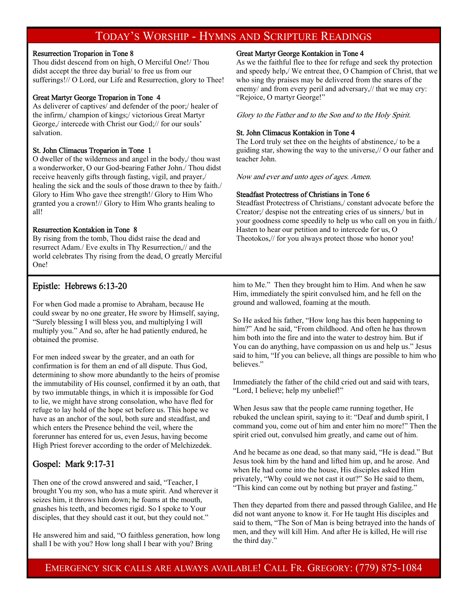## TODAY'S WORSHIP - HYMNS AND SCRIPTURE READINGS

#### Resurrection Troparion in Tone 8

Thou didst descend from on high, O Merciful One!/ Thou didst accept the three day burial/ to free us from our sufferings!// O Lord, our Life and Resurrection, glory to Thee!

#### Great Martyr George Troparion in Tone 4

As deliverer of captives/ and defender of the poor;/ healer of the infirm,/ champion of kings;/ victorious Great Martyr George,/ intercede with Christ our God;// for our souls' salvation.

#### St. John Climacus Troparion in Tone 1

O dweller of the wilderness and angel in the body,/ thou wast a wonderworker, O our God-bearing Father John./ Thou didst receive heavenly gifts through fasting, vigil, and prayer,/ healing the sick and the souls of those drawn to thee by faith./ Glory to Him Who gave thee strength!/ Glory to Him Who granted you a crown!// Glory to Him Who grants healing to all!

#### Resurrection Kontakion in Tone 8

By rising from the tomb, Thou didst raise the dead and resurrect Adam./ Eve exults in Thy Resurrection,// and the world celebrates Thy rising from the dead, O greatly Merciful One!

#### Great Martyr George Kontakion in Tone 4

As we the faithful flee to thee for refuge and seek thy protection and speedy help,/ We entreat thee, O Champion of Christ, that we who sing thy praises may be delivered from the snares of the enemy/ and from every peril and adversary,// that we may cry: "Rejoice, O martyr George!"

Glory to the Father and to the Son and to the Holy Spirit.

#### St. John Climacus Kontakion in Tone 4

The Lord truly set thee on the heights of abstinence,/ to be a guiding star, showing the way to the universe,// O our father and teacher John.

Now and ever and unto ages of ages. Amen.

#### Steadfast Protectress of Christians in Tone 6

Steadfast Protectress of Christians,/ constant advocate before the Creator;/ despise not the entreating cries of us sinners,/ but in your goodness come speedily to help us who call on you in faith./ Hasten to hear our petition and to intercede for us, O Theotokos,// for you always protect those who honor you!

#### Epistle: Hebrews 6:13-20

For when God made a promise to Abraham, because He could swear by no one greater, He swore by Himself, saying, "Surely blessing I will bless you, and multiplying I will multiply you." And so, after he had patiently endured, he obtained the promise.

For men indeed swear by the greater, and an oath for confirmation is for them an end of all dispute. Thus God, determining to show more abundantly to the heirs of promise the immutability of His counsel, confirmed it by an oath, that by two immutable things, in which it is impossible for God to lie, we might have strong consolation, who have fled for refuge to lay hold of the hope set before us. This hope we have as an anchor of the soul, both sure and steadfast, and which enters the Presence behind the veil, where the forerunner has entered for us, even Jesus, having become High Priest forever according to the order of Melchizedek.

#### Gospel: Mark 9:17-31

Then one of the crowd answered and said, "Teacher, I brought You my son, who has a mute spirit. And wherever it seizes him, it throws him down; he foams at the mouth, gnashes his teeth, and becomes rigid. So I spoke to Your disciples, that they should cast it out, but they could not."

He answered him and said, "O faithless generation, how long shall I be with you? How long shall I bear with you? Bring

him to Me." Then they brought him to Him. And when he saw Him, immediately the spirit convulsed him, and he fell on the ground and wallowed, foaming at the mouth.

So He asked his father, "How long has this been happening to him?" And he said, "From childhood. And often he has thrown him both into the fire and into the water to destroy him. But if You can do anything, have compassion on us and help us." Jesus said to him, "If you can believe, all things are possible to him who believes."

Immediately the father of the child cried out and said with tears, "Lord, I believe; help my unbelief!"

When Jesus saw that the people came running together, He rebuked the unclean spirit, saying to it: "Deaf and dumb spirit, I command you, come out of him and enter him no more!" Then the spirit cried out, convulsed him greatly, and came out of him.

And he became as one dead, so that many said, "He is dead." But Jesus took him by the hand and lifted him up, and he arose. And when He had come into the house, His disciples asked Him privately, "Why could we not cast it out?" So He said to them, "This kind can come out by nothing but prayer and fasting."

Then they departed from there and passed through Galilee, and He did not want anyone to know it. For He taught His disciples and said to them, "The Son of Man is being betrayed into the hands of men, and they will kill Him. And after He is killed, He will rise the third day."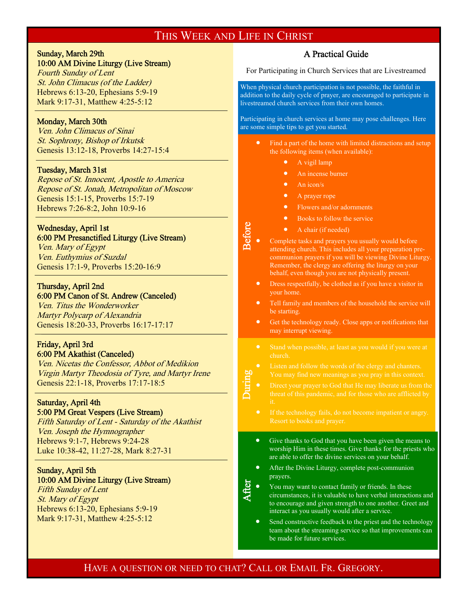## THIS WEEK AND LIFE IN CHRIST

Before

During

**After** 

## Sunday, March 29th

#### 10:00 AM Divine Liturgy (Live Stream)

Fourth Sunday of Lent St. John Climacus (of the Ladder) Hebrews 6:13-20, Ephesians 5:9-19 Mark 9:17-31, Matthew 4:25-5:12

#### Monday, March 30th

 $\overline{a}$ 

 $\overline{a}$ 

 $\overline{a}$ 

 $\overline{a}$ 

Ven. John Climacus of Sinai St. Sophrony, Bishop of Irkutsk Genesis 13:12-18, Proverbs 14:27-15:4

#### Tuesday, March 31st

Repose of St. Innocent, Apostle to America Repose of St. Jonah, Metropolitan of Moscow Genesis 15:1-15, Proverbs 15:7-19 Hebrews 7:26-8:2, John 10:9-16

#### Wednesday, April 1st

6:00 PM Presanctified Liturgy (Live Stream) Ven. Mary of Egypt Ven. Euthymius of Suzdal Genesis 17:1-9, Proverbs 15:20-16:9

#### Thursday, April 2nd 6:00 PM Canon of St. Andrew (Canceled)

Ven. Titus the Wonderworker Martyr Polycarp of Alexandria Genesis 18:20-33, Proverbs 16:17-17:17

#### Friday, April 3rd 6:00 PM Akathist (Canceled)

Ven. Nicetas the Confessor, Abbot of Medikion Virgin Martyr Theodosia of Tyre, and Martyr Irene Genesis 22:1-18, Proverbs 17:17-18:5

#### Saturday, April 4th 5:00 PM Great Vespers (Live Stream)

Fifth Saturday of Lent - Saturday of the Akathist Ven. Joseph the Hymnographer Hebrews 9:1-7, Hebrews 9:24-28 Luke 10:38-42, 11:27-28, Mark 8:27-31

#### Sunday, April 5th

#### 10:00 AM Divine Liturgy (Live Stream)

Fifth Sunday of Lent St. Mary of Egypt Hebrews 6:13-20, Ephesians 5:9-19 Mark 9:17-31, Matthew 4:25-5:12

### A Practical Guide

For Participating in Church Services that are Livestreamed

When physical church participation is not possible, the faithful in addition to the daily cycle of prayer, are encouraged to participate in livestreamed church services from their own homes.

Participating in church services at home may pose challenges. Here are some simple tips to get you started.

- Find a part of the home with limited distractions and setup the following items (when available):
	- A vigil lamp
	- An incense burner
	- An icon/s
	- A prayer rope
	- Flowers and/or adornments
	- Books to follow the service
	- A chair (if needed)
- Complete tasks and prayers you usually would before attending church. This includes all your preparation precommunion prayers if you will be viewing Divine Liturgy. Remember, the clergy are offering the liturgy on your behalf, even though you are not physically present.
- Dress respectfully, be clothed as if you have a visitor in your home.
- Tell family and members of the household the service will be starting.
- Get the technology ready. Close apps or notifications that may interrupt viewing.
- Stand when possible, at least as you would if you were at
- 
- 
- Resort to books and prayer.
- Give thanks to God that you have been given the means to worship Him in these times. Give thanks for the priests who are able to offer the divine services on your behalf.
- After the Divine Liturgy, complete post-communion prayers.
- You may want to contact family or friends. In these circumstances, it is valuable to have verbal interactions and to encourage and given strength to one another. Greet and interact as you usually would after a service.
- Send constructive feedback to the priest and the technology team about the streaming service so that improvements can be made for future services.

## HAVE A QUESTION OR NEED TO CHAT? CALL OR EMAIL FR. GREGORY.